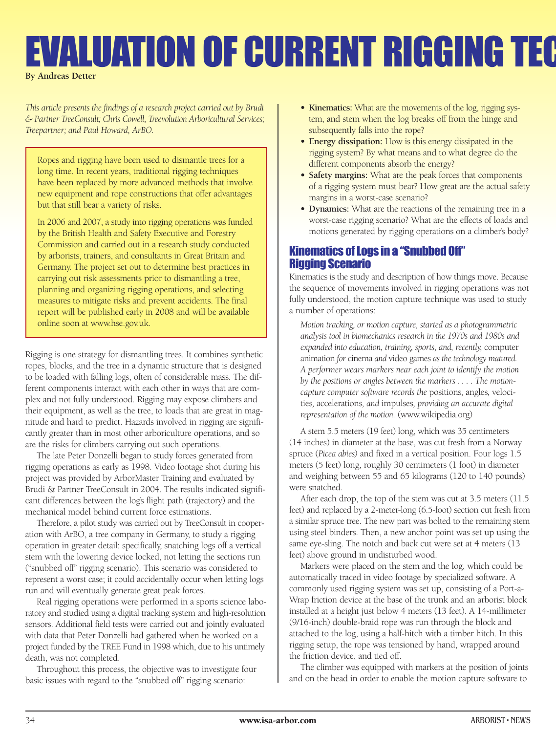# EVALUATION OF CURRENT RIGGING TEC **By Andreas Detter**

*This article presents the findings of a research project carried out by Brudi & Partner TreeConsult; Chris Cowell, Treevolution Arboricultural Services; Treepartner; and Paul Howard, ArBO.*

Ropes and rigging have been used to dismantle trees for a long time. In recent years, traditional rigging techniques have been replaced by more advanced methods that involve new equipment and rope constructions that offer advantages but that still bear a variety of risks.

In 2006 and 2007, a study into rigging operations was funded by the British Health and Safety Executive and Forestry Commission and carried out in a research study conducted by arborists, trainers, and consultants in Great Britain and Germany. The project set out to determine best practices in carrying out risk assessments prior to dismantling a tree, planning and organizing rigging operations, and selecting measures to mitigate risks and prevent accidents. The final report will be published early in 2008 and will be available online soon at www.hse.gov.uk.

Rigging is one strategy for dismantling trees. It combines synthetic ropes, blocks, and the tree in a dynamic structure that is designed to be loaded with falling logs, often of considerable mass. The different components interact with each other in ways that are complex and not fully understood. Rigging may expose climbers and their equipment, as well as the tree, to loads that are great in magnitude and hard to predict. Hazards involved in rigging are significantly greater than in most other arboriculture operations, and so are the risks for climbers carrying out such operations.

The late Peter Donzelli began to study forces generated from rigging operations as early as 1998. Video footage shot during his project was provided by ArborMaster Training and evaluated by Brudi & Partner TreeConsult in 2004. The results indicated significant differences between the log's flight path (trajectory) and the mechanical model behind current force estimations.

Therefore, a pilot study was carried out by TreeConsult in cooperation with ArBO, a tree company in Germany, to study a rigging operation in greater detail: specifically, snatching logs off a vertical stem with the lowering device locked, not letting the sections run ("snubbed off" rigging scenario). This scenario was considered to represent a worst case; it could accidentally occur when letting logs run and will eventually generate great peak forces.

Real rigging operations were performed in a sports science laboratory and studied using a digital tracking system and high-resolution sensors. Additional field tests were carried out and jointly evaluated with data that Peter Donzelli had gathered when he worked on a project funded by the TREE Fund in 1998 which, due to his untimely death, was not completed.

Throughout this process, the objective was to investigate four basic issues with regard to the "snubbed off" rigging scenario:

- **Kinematics:** What are the movements of the log, rigging system, and stem when the log breaks off from the hinge and subsequently falls into the rope?
- **Energy dissipation:** How is this energy dissipated in the rigging system? By what means and to what degree do the different components absorb the energy?
- **Safety margins:** What are the peak forces that components of a rigging system must bear? How great are the actual safety margins in a worst-case scenario?
- **Dynamics:** What are the reactions of the remaining tree in a worst-case rigging scenario? What are the effects of loads and motions generated by rigging operations on a climber's body?

### Kinematics of Logs in a "Snubbed Off" Rigging Scenario

Kinematics is the study and description of how things move. Because the sequence of movements involved in rigging operations was not fully understood, the motion capture technique was used to study a number of operations:

*Motion tracking, or motion capture, started as a photogrammetric analysis tool in biomechanics research in the 1970s and 1980s and expanded into education, training, sports, and, recently,* computer animation *for* cinema *and* video games *as the technology matured. A performer wears markers near each joint to identify the motion by the positions or angles between the markers . . . . The motioncapture computer software records the* positions*,* angles*,* velocities*,* accelerations*, and* impulses*, providing an accurate digital representation of the motion.* (www.wikipedia.org)

A stem 5.5 meters (19 feet) long, which was 35 centimeters (14 inches) in diameter at the base, was cut fresh from a Norway spruce (*Picea abies)* and fixed in a vertical position. Four logs 1.5 meters (5 feet) long, roughly 30 centimeters (1 foot) in diameter and weighing between 55 and 65 kilograms (120 to 140 pounds) were snatched.

After each drop, the top of the stem was cut at 3.5 meters (11.5 feet) and replaced by a 2-meter-long (6.5-foot) section cut fresh from a similar spruce tree. The new part was bolted to the remaining stem using steel binders. Then, a new anchor point was set up using the same eye-sling. The notch and back cut were set at 4 meters (13 feet) above ground in undisturbed wood.

Markers were placed on the stem and the log, which could be automatically traced in video footage by specialized software. A commonly used rigging system was set up, consisting of a Port-a-Wrap friction device at the base of the trunk and an arborist block installed at a height just below 4 meters (13 feet). A 14-millimeter (9/16-inch) double-braid rope was run through the block and attached to the log, using a half-hitch with a timber hitch. In this rigging setup, the rope was tensioned by hand, wrapped around the friction device, and tied off.

The climber was equipped with markers at the position of joints and on the head in order to enable the motion capture software to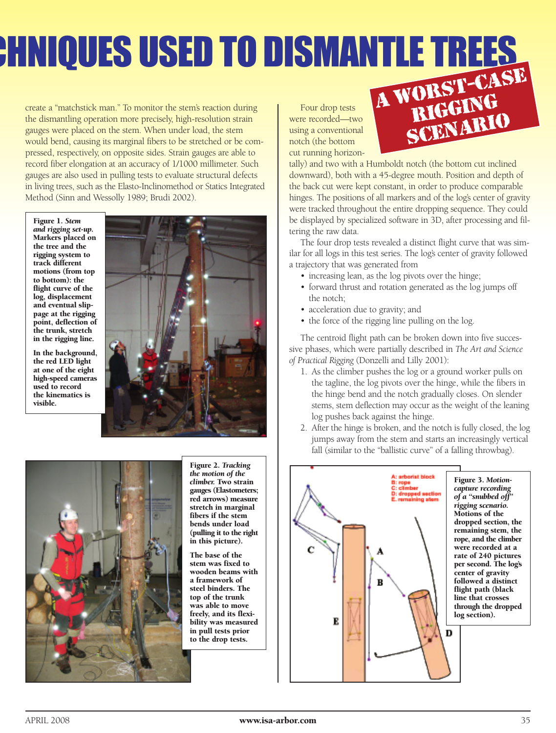# **EXHIQUES USED TO DISMANTLE TREES**

create a "matchstick man." To monitor the stem's reaction during the dismantling operation more precisely, high-resolution strain gauges were placed on the stem. When under load, the stem would bend, causing its marginal fibers to be stretched or be compressed, respectively, on opposite sides. Strain gauges are able to record fiber elongation at an accuracy of 1/1000 millimeter. Such gauges are also used in pulling tests to evaluate structural defects in living trees, such as the Elasto-Inclinomethod or Statics Integrated Method (Sinn and Wessolly 1989; Brudi 2002).

**Figure 1.** *Stem and rigging set-up.* **Markers placed on the tree and the rigging system to track different motions (from top to bottom): the flight curve of the log, displacement and eventual slippage at the rigging point, deflection of the trunk, stretch in the rigging line.** 

**In the background, the red LED light at one of the eight high-speed cameras used to record the kinematics is visible.**





**Figure 2.** *Tracking the motion of the climber.* **Two strain gauges (Elastometers; red arrows) measure stretch in marginal fibers if the stem bends under load (pulling it to the right in this picture).** 

**The base of the stem was fixed to wooden beams with a framework of steel binders. The top of the trunk was able to move freely, and its flexibility was measured in pull tests prior to the drop tests.**

Four drop tests were recorded—two using a conventional notch (the bottom cut running horizon-



tally) and two with a Humboldt notch (the bottom cut inclined downward), both with a 45-degree mouth. Position and depth of the back cut were kept constant, in order to produce comparable hinges. The positions of all markers and of the log's center of gravity were tracked throughout the entire dropping sequence. They could be displayed by specialized software in 3D, after processing and filtering the raw data.

The four drop tests revealed a distinct flight curve that was similar for all logs in this test series. The log's center of gravity followed a trajectory that was generated from

- increasing lean, as the log pivots over the hinge;
- forward thrust and rotation generated as the log jumps off the notch;
- acceleration due to gravity; and
- the force of the rigging line pulling on the log.

The centroid flight path can be broken down into five successive phases, which were partially described in *The Art and Science of Practical Rigging* (Donzelli and Lilly 2001):

- 1. As the climber pushes the log or a ground worker pulls on the tagline, the log pivots over the hinge, while the fibers in the hinge bend and the notch gradually closes. On slender stems, stem deflection may occur as the weight of the leaning log pushes back against the hinge.
- 2. After the hinge is broken, and the notch is fully closed, the log jumps away from the stem and starts an increasingly vertical fall (similar to the "ballistic curve" of a falling throwbag).

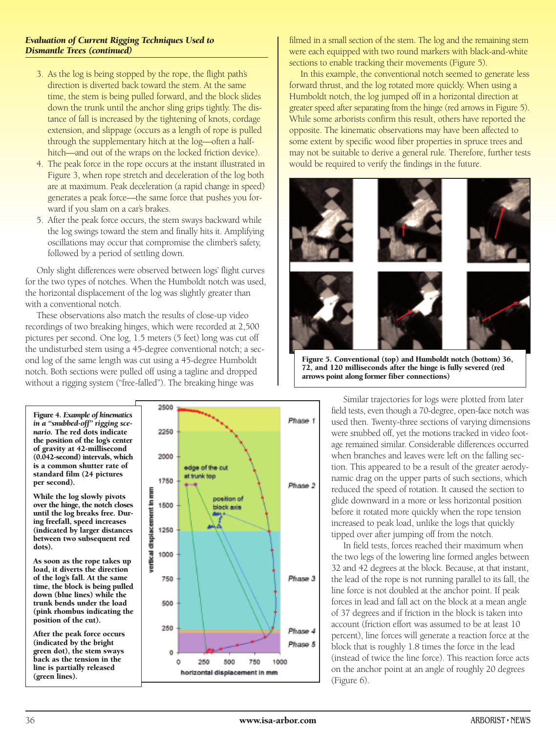- 3. As the log is being stopped by the rope, the flight path's direction is diverted back toward the stem. At the same time, the stem is being pulled forward, and the block slides down the trunk until the anchor sling grips tightly. The distance of fall is increased by the tightening of knots, cordage extension, and slippage (occurs as a length of rope is pulled through the supplementary hitch at the log—often a halfhitch—and out of the wraps on the locked friction device).
- 4. The peak force in the rope occurs at the instant illustrated in Figure 3, when rope stretch and deceleration of the log both are at maximum. Peak deceleration (a rapid change in speed) generates a peak force—the same force that pushes you forward if you slam on a car's brakes.
- 5. After the peak force occurs, the stem sways backward while the log swings toward the stem and finally hits it. Amplifying oscillations may occur that compromise the climber's safety, followed by a period of settling down.

Only slight differences were observed between logs' flight curves for the two types of notches. When the Humboldt notch was used, the horizontal displacement of the log was slightly greater than with a conventional notch.

These observations also match the results of close-up video recordings of two breaking hinges, which were recorded at 2,500 pictures per second. One log, 1.5 meters (5 feet) long was cut off the undisturbed stem using a 45-degree conventional notch; a second log of the same length was cut using a 45-degree Humboldt notch. Both sections were pulled off using a tagline and dropped without a rigging system ("free-falled"). The breaking hinge was

**Figure 4.** *Example of kinematics in a "snubbed-off" rigging scenario.* **The red dots indicate the position of the log's center of gravity at 42-millisecond (0.042-second) intervals, which is a common shutter rate of standard film (24 pictures per second).**

**While the log slowly pivots over the hinge, the notch closes until the log breaks free. During freefall, speed increases (indicated by larger distances between two subsequent red dots).** 

**As soon as the rope takes up load, it diverts the direction of the log's fall. At the same time, the block is being pulled down (blue lines) while the trunk bends under the load (pink rhombus indicating the position of the cut).**

**After the peak force occurs (indicated by the bright green dot), the stem sways back as the tension in the line is partially released (green lines).**



filmed in a small section of the stem. The log and the remaining stem were each equipped with two round markers with black-and-white sections to enable tracking their movements (Figure 5).

In this example, the conventional notch seemed to generate less forward thrust, and the log rotated more quickly. When using a Humboldt notch, the log jumped off in a horizontal direction at greater speed after separating from the hinge (red arrows in Figure 5). While some arborists confirm this result, others have reported the opposite. The kinematic observations may have been affected to some extent by specific wood fiber properties in spruce trees and may not be suitable to derive a general rule. Therefore, further tests would be required to verify the findings in the future.



**Figure 5. Conventional (top) and Humboldt notch (bottom) 36, 72, and 120 milliseconds after the hinge is fully severed (red arrows point along former fiber connections)**

Similar trajectories for logs were plotted from later field tests, even though a 70-degree, open-face notch was used then. Twenty-three sections of varying dimensions were snubbed off, yet the motions tracked in video footage remained similar. Considerable differences occurred when branches and leaves were left on the falling section. This appeared to be a result of the greater aerodynamic drag on the upper parts of such sections, which reduced the speed of rotation. It caused the section to glide downward in a more or less horizontal position before it rotated more quickly when the rope tension increased to peak load, unlike the logs that quickly tipped over after jumping off from the notch.

In field tests, forces reached their maximum when the two legs of the lowering line formed angles between 32 and 42 degrees at the block. Because, at that instant, the lead of the rope is not running parallel to its fall, the line force is not doubled at the anchor point. If peak forces in lead and fall act on the block at a mean angle of 37 degrees and if friction in the block is taken into account (friction effort was assumed to be at least 10 percent), line forces will generate a reaction force at the block that is roughly 1.8 times the force in the lead (instead of twice the line force). This reaction force acts on the anchor point at an angle of roughly 20 degrees (Figure 6).